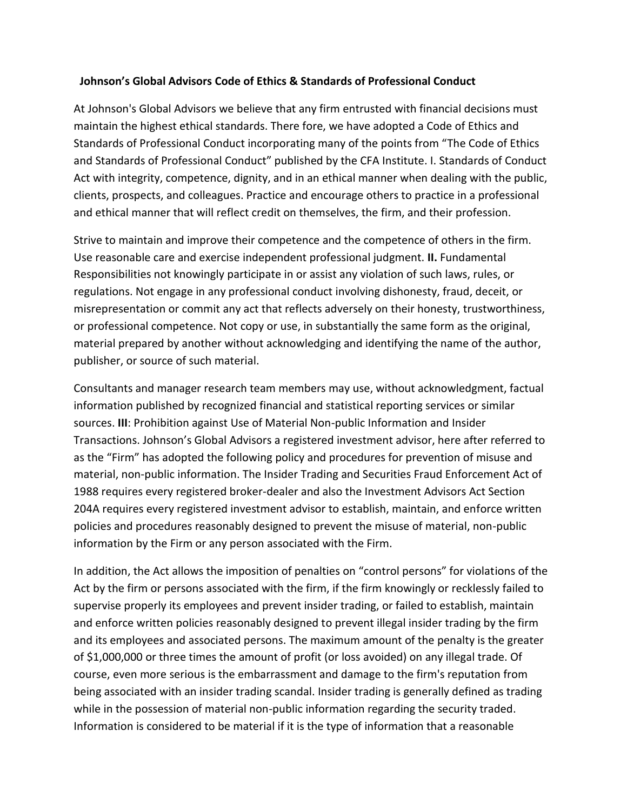## **Johnson's Global Advisors Code of Ethics & Standards of Professional Conduct**

At Johnson's Global Advisors we believe that any firm entrusted with financial decisions must maintain the highest ethical standards. There fore, we have adopted a Code of Ethics and Standards of Professional Conduct incorporating many of the points from "The Code of Ethics and Standards of Professional Conduct" published by the CFA Institute. I. Standards of Conduct Act with integrity, competence, dignity, and in an ethical manner when dealing with the public, clients, prospects, and colleagues. Practice and encourage others to practice in a professional and ethical manner that will reflect credit on themselves, the firm, and their profession.

Strive to maintain and improve their competence and the competence of others in the firm. Use reasonable care and exercise independent professional judgment. **II.** Fundamental Responsibilities not knowingly participate in or assist any violation of such laws, rules, or regulations. Not engage in any professional conduct involving dishonesty, fraud, deceit, or misrepresentation or commit any act that reflects adversely on their honesty, trustworthiness, or professional competence. Not copy or use, in substantially the same form as the original, material prepared by another without acknowledging and identifying the name of the author, publisher, or source of such material.

Consultants and manager research team members may use, without acknowledgment, factual information published by recognized financial and statistical reporting services or similar sources. **III**: Prohibition against Use of Material Non-public Information and Insider Transactions. Johnson's Global Advisors a registered investment advisor, here after referred to as the "Firm" has adopted the following policy and procedures for prevention of misuse and material, non-public information. The Insider Trading and Securities Fraud Enforcement Act of 1988 requires every registered broker-dealer and also the Investment Advisors Act Section 204A requires every registered investment advisor to establish, maintain, and enforce written policies and procedures reasonably designed to prevent the misuse of material, non-public information by the Firm or any person associated with the Firm.

In addition, the Act allows the imposition of penalties on "control persons" for violations of the Act by the firm or persons associated with the firm, if the firm knowingly or recklessly failed to supervise properly its employees and prevent insider trading, or failed to establish, maintain and enforce written policies reasonably designed to prevent illegal insider trading by the firm and its employees and associated persons. The maximum amount of the penalty is the greater of \$1,000,000 or three times the amount of profit (or loss avoided) on any illegal trade. Of course, even more serious is the embarrassment and damage to the firm's reputation from being associated with an insider trading scandal. Insider trading is generally defined as trading while in the possession of material non-public information regarding the security traded. Information is considered to be material if it is the type of information that a reasonable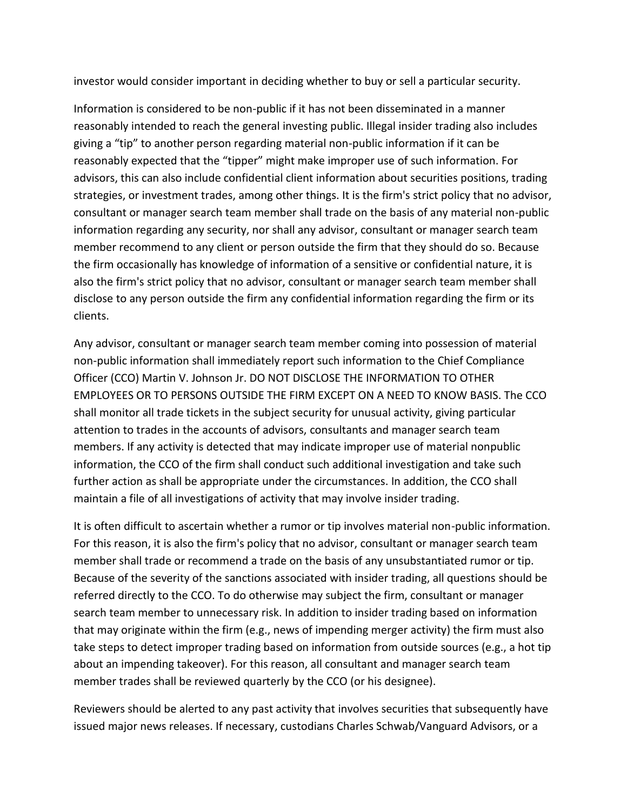investor would consider important in deciding whether to buy or sell a particular security.

Information is considered to be non-public if it has not been disseminated in a manner reasonably intended to reach the general investing public. Illegal insider trading also includes giving a "tip" to another person regarding material non-public information if it can be reasonably expected that the "tipper" might make improper use of such information. For advisors, this can also include confidential client information about securities positions, trading strategies, or investment trades, among other things. It is the firm's strict policy that no advisor, consultant or manager search team member shall trade on the basis of any material non-public information regarding any security, nor shall any advisor, consultant or manager search team member recommend to any client or person outside the firm that they should do so. Because the firm occasionally has knowledge of information of a sensitive or confidential nature, it is also the firm's strict policy that no advisor, consultant or manager search team member shall disclose to any person outside the firm any confidential information regarding the firm or its clients.

Any advisor, consultant or manager search team member coming into possession of material non-public information shall immediately report such information to the Chief Compliance Officer (CCO) Martin V. Johnson Jr. DO NOT DISCLOSE THE INFORMATION TO OTHER EMPLOYEES OR TO PERSONS OUTSIDE THE FIRM EXCEPT ON A NEED TO KNOW BASIS. The CCO shall monitor all trade tickets in the subject security for unusual activity, giving particular attention to trades in the accounts of advisors, consultants and manager search team members. If any activity is detected that may indicate improper use of material nonpublic information, the CCO of the firm shall conduct such additional investigation and take such further action as shall be appropriate under the circumstances. In addition, the CCO shall maintain a file of all investigations of activity that may involve insider trading.

It is often difficult to ascertain whether a rumor or tip involves material non-public information. For this reason, it is also the firm's policy that no advisor, consultant or manager search team member shall trade or recommend a trade on the basis of any unsubstantiated rumor or tip. Because of the severity of the sanctions associated with insider trading, all questions should be referred directly to the CCO. To do otherwise may subject the firm, consultant or manager search team member to unnecessary risk. In addition to insider trading based on information that may originate within the firm (e.g., news of impending merger activity) the firm must also take steps to detect improper trading based on information from outside sources (e.g., a hot tip about an impending takeover). For this reason, all consultant and manager search team member trades shall be reviewed quarterly by the CCO (or his designee).

Reviewers should be alerted to any past activity that involves securities that subsequently have issued major news releases. If necessary, custodians Charles Schwab/Vanguard Advisors, or a